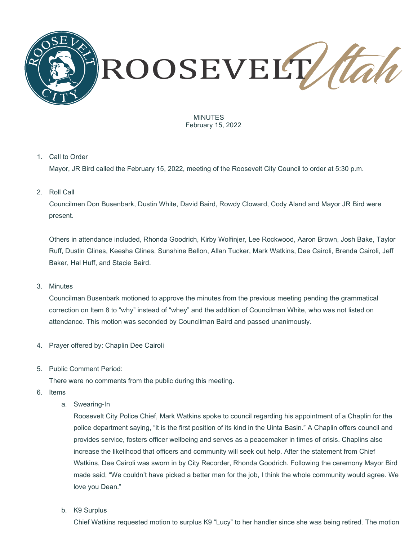

MINUTES February 15, 2022

## 1. Call to Order

Mayor, JR Bird called the February 15, 2022, meeting of the Roosevelt City Council to order at 5:30 p.m.

2. Roll Call

Councilmen Don Busenbark, Dustin White, David Baird, Rowdy Cloward, Cody Aland and Mayor JR Bird were present.

Others in attendance included, Rhonda Goodrich, Kirby Wolfinjer, Lee Rockwood, Aaron Brown, Josh Bake, Taylor Ruff, Dustin Glines, Keesha Glines, Sunshine Bellon, Allan Tucker, Mark Watkins, Dee Cairoli, Brenda Cairoli, Jeff Baker, Hal Huff, and Stacie Baird.

## 3. Minutes

Councilman Busenbark motioned to approve the minutes from the previous meeting pending the grammatical correction on Item 8 to "why" instead of "whey" and the addition of Councilman White, who was not listed on attendance. This motion was seconded by Councilman Baird and passed unanimously.

- 4. Prayer offered by: Chaplin Dee Cairoli
- 5. Public Comment Period:

There were no comments from the public during this meeting.

- 6. Items
	- a. Swearing-In

Roosevelt City Police Chief, Mark Watkins spoke to council regarding his appointment of a Chaplin for the police department saying, "it is the first position of its kind in the Uinta Basin." A Chaplin offers council and provides service, fosters officer wellbeing and serves as a peacemaker in times of crisis. Chaplins also increase the likelihood that officers and community will seek out help. After the statement from Chief Watkins, Dee Cairoli was sworn in by City Recorder, Rhonda Goodrich. Following the ceremony Mayor Bird made said, "We couldn't have picked a better man for the job, I think the whole community would agree. We love you Dean."

b. K9 Surplus

Chief Watkins requested motion to surplus K9 "Lucy" to her handler since she was being retired. The motion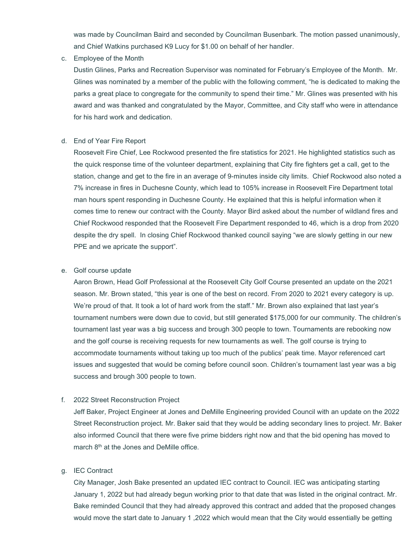was made by Councilman Baird and seconded by Councilman Busenbark. The motion passed unanimously, and Chief Watkins purchased K9 Lucy for \$1.00 on behalf of her handler.

c. Employee of the Month

Dustin Glines, Parks and Recreation Supervisor was nominated for February's Employee of the Month. Mr. Glines was nominated by a member of the public with the following comment, "he is dedicated to making the parks a great place to congregate for the community to spend their time." Mr. Glines was presented with his award and was thanked and congratulated by the Mayor, Committee, and City staff who were in attendance for his hard work and dedication.

## d. End of Year Fire Report

Roosevelt Fire Chief, Lee Rockwood presented the fire statistics for 2021. He highlighted statistics such as the quick response time of the volunteer department, explaining that City fire fighters get a call, get to the station, change and get to the fire in an average of 9-minutes inside city limits. Chief Rockwood also noted a 7% increase in fires in Duchesne County, which lead to 105% increase in Roosevelt Fire Department total man hours spent responding in Duchesne County. He explained that this is helpful information when it comes time to renew our contract with the County. Mayor Bird asked about the number of wildland fires and Chief Rockwood responded that the Roosevelt Fire Department responded to 46, which is a drop from 2020 despite the dry spell. In closing Chief Rockwood thanked council saying "we are slowly getting in our new PPE and we apricate the support".

## e. Golf course update

Aaron Brown, Head Golf Professional at the Roosevelt City Golf Course presented an update on the 2021 season. Mr. Brown stated, "this year is one of the best on record. From 2020 to 2021 every category is up. We're proud of that. It took a lot of hard work from the staff." Mr. Brown also explained that last year's tournament numbers were down due to covid, but still generated \$175,000 for our community. The children's tournament last year was a big success and brough 300 people to town. Tournaments are rebooking now and the golf course is receiving requests for new tournaments as well. The golf course is trying to accommodate tournaments without taking up too much of the publics' peak time. Mayor referenced cart issues and suggested that would be coming before council soon. Children's tournament last year was a big success and brough 300 people to town.

## f. 2022 Street Reconstruction Project

Jeff Baker, Project Engineer at Jones and DeMille Engineering provided Council with an update on the 2022 Street Reconstruction project. Mr. Baker said that they would be adding secondary lines to project. Mr. Baker also informed Council that there were five prime bidders right now and that the bid opening has moved to march 8<sup>th</sup> at the Jones and DeMille office.

## g. IEC Contract

City Manager, Josh Bake presented an updated IEC contract to Council. IEC was anticipating starting January 1, 2022 but had already begun working prior to that date that was listed in the original contract. Mr. Bake reminded Council that they had already approved this contract and added that the proposed changes would move the start date to January 1 ,2022 which would mean that the City would essentially be getting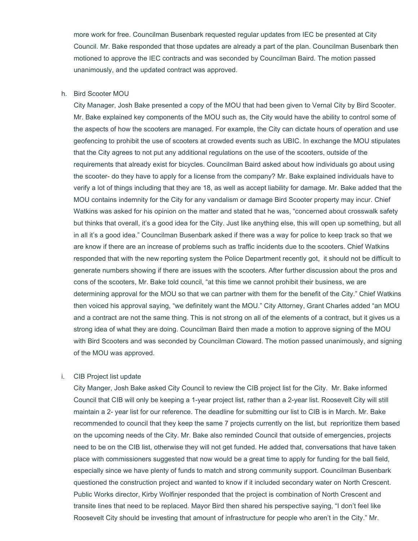more work for free. Councilman Busenbark requested regular updates from IEC be presented at City Council. Mr. Bake responded that those updates are already a part of the plan. Councilman Busenbark then motioned to approve the IEC contracts and was seconded by Councilman Baird. The motion passed unanimously, and the updated contract was approved.

#### h. Bird Scooter MOU

City Manager, Josh Bake presented a copy of the MOU that had been given to Vernal City by Bird Scooter. Mr. Bake explained key components of the MOU such as, the City would have the ability to control some of the aspects of how the scooters are managed. For example, the City can dictate hours of operation and use geofencing to prohibit the use of scooters at crowded events such as UBIC. In exchange the MOU stipulates that the City agrees to not put any additional regulations on the use of the scooters, outside of the requirements that already exist for bicycles. Councilman Baird asked about how individuals go about using the scooter- do they have to apply for a license from the company? Mr. Bake explained individuals have to verify a lot of things including that they are 18, as well as accept liability for damage. Mr. Bake added that the MOU contains indemnity for the City for any vandalism or damage Bird Scooter property may incur. Chief Watkins was asked for his opinion on the matter and stated that he was, "concerned about crosswalk safety but thinks that overall, it's a good idea for the City. Just like anything else, this will open up something, but all in all it's a good idea." Councilman Busenbark asked if there was a way for police to keep track so that we are know if there are an increase of problems such as traffic incidents due to the scooters. Chief Watkins responded that with the new reporting system the Police Department recently got, it should not be difficult to generate numbers showing if there are issues with the scooters. After further discussion about the pros and cons of the scooters, Mr. Bake told council, "at this time we cannot prohibit their business, we are determining approval for the MOU so that we can partner with them for the benefit of the City." Chief Watkins then voiced his approval saying, "we definitely want the MOU." City Attorney, Grant Charles added "an MOU and a contract are not the same thing. This is not strong on all of the elements of a contract, but it gives us a strong idea of what they are doing. Councilman Baird then made a motion to approve signing of the MOU with Bird Scooters and was seconded by Councilman Cloward. The motion passed unanimously, and signing of the MOU was approved.

## i. CIB Project list update

City Manger, Josh Bake asked City Council to review the CIB project list for the City. Mr. Bake informed Council that CIB will only be keeping a 1-year project list, rather than a 2-year list. Roosevelt City will still maintain a 2- year list for our reference. The deadline for submitting our list to CIB is in March. Mr. Bake recommended to council that they keep the same 7 projects currently on the list, but reprioritize them based on the upcoming needs of the City. Mr. Bake also reminded Council that outside of emergencies, projects need to be on the CIB list, otherwise they will not get funded. He added that, conversations that have taken place with commissioners suggested that now would be a great time to apply for funding for the ball field, especially since we have plenty of funds to match and strong community support. Councilman Busenbark questioned the construction project and wanted to know if it included secondary water on North Crescent. Public Works director, Kirby Wolfinjer responded that the project is combination of North Crescent and transite lines that need to be replaced. Mayor Bird then shared his perspective saying, "I don't feel like Roosevelt City should be investing that amount of infrastructure for people who aren't in the City." Mr.